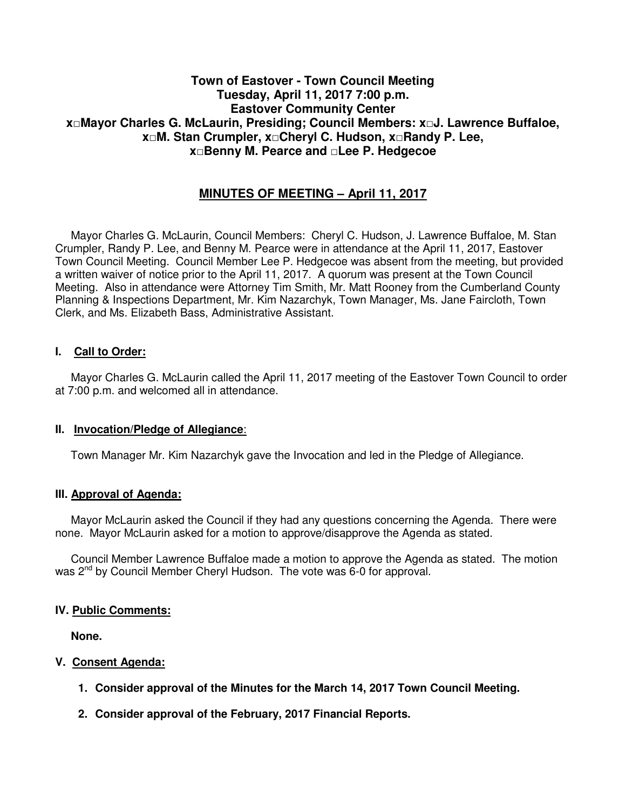## **Town of Eastover - Town Council Meeting Tuesday, April 11, 2017 7:00 p.m. Eastover Community Center x□Mayor Charles G. McLaurin, Presiding; Council Members: x□J. Lawrence Buffaloe, x□M. Stan Crumpler, x□Cheryl C. Hudson, x□Randy P. Lee, x□Benny M. Pearce and □Lee P. Hedgecoe**

# **MINUTES OF MEETING – April 11, 2017**

 Mayor Charles G. McLaurin, Council Members: Cheryl C. Hudson, J. Lawrence Buffaloe, M. Stan Crumpler, Randy P. Lee, and Benny M. Pearce were in attendance at the April 11, 2017, Eastover Town Council Meeting. Council Member Lee P. Hedgecoe was absent from the meeting, but provided a written waiver of notice prior to the April 11, 2017. A quorum was present at the Town Council Meeting. Also in attendance were Attorney Tim Smith, Mr. Matt Rooney from the Cumberland County Planning & Inspections Department, Mr. Kim Nazarchyk, Town Manager, Ms. Jane Faircloth, Town Clerk, and Ms. Elizabeth Bass, Administrative Assistant.

### **I. Call to Order:**

 Mayor Charles G. McLaurin called the April 11, 2017 meeting of the Eastover Town Council to order at 7:00 p.m. and welcomed all in attendance.

#### **II. Invocation/Pledge of Allegiance**:

Town Manager Mr. Kim Nazarchyk gave the Invocation and led in the Pledge of Allegiance.

#### **III. Approval of Agenda:**

 Mayor McLaurin asked the Council if they had any questions concerning the Agenda. There were none. Mayor McLaurin asked for a motion to approve/disapprove the Agenda as stated.

 Council Member Lawrence Buffaloe made a motion to approve the Agenda as stated. The motion was 2<sup>nd</sup> by Council Member Cheryl Hudson. The vote was 6-0 for approval.

#### **IV. Public Comments:**

 **None.** 

### **V. Consent Agenda:**

- **1. Consider approval of the Minutes for the March 14, 2017 Town Council Meeting.**
- **2. Consider approval of the February, 2017 Financial Reports.**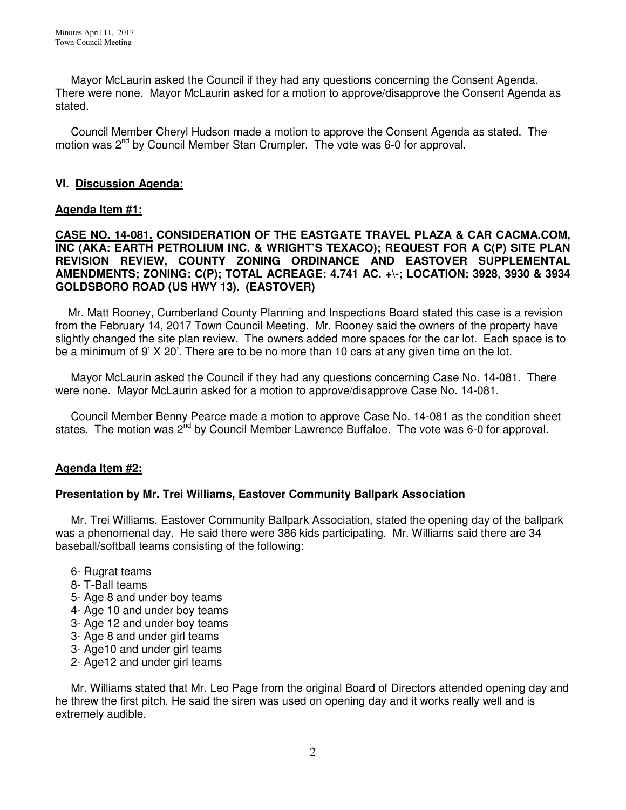Mayor McLaurin asked the Council if they had any questions concerning the Consent Agenda. There were none. Mayor McLaurin asked for a motion to approve/disapprove the Consent Agenda as stated.

 Council Member Cheryl Hudson made a motion to approve the Consent Agenda as stated. The motion was 2<sup>nd</sup> by Council Member Stan Crumpler. The vote was 6-0 for approval.

### **VI. Discussion Agenda:**

### **Agenda Item #1:**

**CASE NO. 14-081. CONSIDERATION OF THE EASTGATE TRAVEL PLAZA & CAR CACMA.COM, INC (AKA: EARTH PETROLIUM INC. & WRIGHT'S TEXACO); REQUEST FOR A C(P) SITE PLAN REVISION REVIEW, COUNTY ZONING ORDINANCE AND EASTOVER SUPPLEMENTAL AMENDMENTS; ZONING: C(P); TOTAL ACREAGE: 4.741 AC. +\-; LOCATION: 3928, 3930 & 3934 GOLDSBORO ROAD (US HWY 13). (EASTOVER)** 

Mr. Matt Rooney, Cumberland County Planning and Inspections Board stated this case is a revision from the February 14, 2017 Town Council Meeting. Mr. Rooney said the owners of the property have slightly changed the site plan review. The owners added more spaces for the car lot. Each space is to be a minimum of 9' X 20'. There are to be no more than 10 cars at any given time on the lot.

 Mayor McLaurin asked the Council if they had any questions concerning Case No. 14-081. There were none. Mayor McLaurin asked for a motion to approve/disapprove Case No. 14-081.

 Council Member Benny Pearce made a motion to approve Case No. 14-081 as the condition sheet states. The motion was  $2^{nd}$  by Council Member Lawrence Buffaloe. The vote was 6-0 for approval.

### **Agenda Item #2:**

### **Presentation by Mr. Trei Williams, Eastover Community Ballpark Association**

 Mr. Trei Williams, Eastover Community Ballpark Association, stated the opening day of the ballpark was a phenomenal day. He said there were 386 kids participating. Mr. Williams said there are 34 baseball/softball teams consisting of the following:

- 6- Rugrat teams
- 8- T-Ball teams
- 5- Age 8 and under boy teams
- 4- Age 10 and under boy teams
- 3- Age 12 and under boy teams
- 3- Age 8 and under girl teams
- 3- Age10 and under girl teams
- 2- Age12 and under girl teams

 Mr. Williams stated that Mr. Leo Page from the original Board of Directors attended opening day and he threw the first pitch. He said the siren was used on opening day and it works really well and is extremely audible.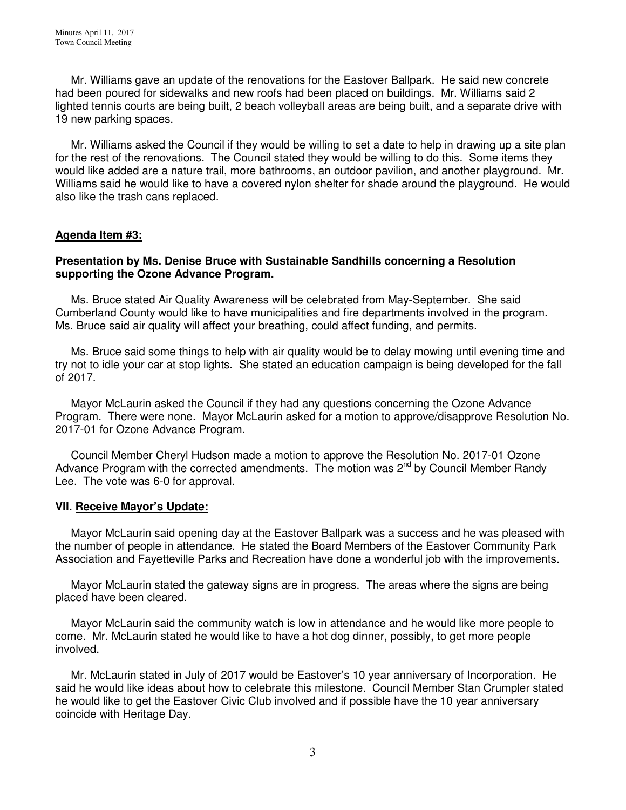Mr. Williams gave an update of the renovations for the Eastover Ballpark. He said new concrete had been poured for sidewalks and new roofs had been placed on buildings. Mr. Williams said 2 lighted tennis courts are being built, 2 beach volleyball areas are being built, and a separate drive with 19 new parking spaces.

 Mr. Williams asked the Council if they would be willing to set a date to help in drawing up a site plan for the rest of the renovations. The Council stated they would be willing to do this. Some items they would like added are a nature trail, more bathrooms, an outdoor pavilion, and another playground. Mr. Williams said he would like to have a covered nylon shelter for shade around the playground. He would also like the trash cans replaced.

### **Agenda Item #3:**

#### **Presentation by Ms. Denise Bruce with Sustainable Sandhills concerning a Resolution supporting the Ozone Advance Program.**

 Ms. Bruce stated Air Quality Awareness will be celebrated from May-September. She said Cumberland County would like to have municipalities and fire departments involved in the program. Ms. Bruce said air quality will affect your breathing, could affect funding, and permits.

 Ms. Bruce said some things to help with air quality would be to delay mowing until evening time and try not to idle your car at stop lights. She stated an education campaign is being developed for the fall of 2017.

 Mayor McLaurin asked the Council if they had any questions concerning the Ozone Advance Program. There were none. Mayor McLaurin asked for a motion to approve/disapprove Resolution No. 2017-01 for Ozone Advance Program.

 Council Member Cheryl Hudson made a motion to approve the Resolution No. 2017-01 Ozone Advance Program with the corrected amendments. The motion was  $2<sup>nd</sup>$  by Council Member Randy Lee. The vote was 6-0 for approval.

#### **VII. Receive Mayor's Update:**

 Mayor McLaurin said opening day at the Eastover Ballpark was a success and he was pleased with the number of people in attendance. He stated the Board Members of the Eastover Community Park Association and Fayetteville Parks and Recreation have done a wonderful job with the improvements.

 Mayor McLaurin stated the gateway signs are in progress. The areas where the signs are being placed have been cleared.

 Mayor McLaurin said the community watch is low in attendance and he would like more people to come. Mr. McLaurin stated he would like to have a hot dog dinner, possibly, to get more people involved.

 Mr. McLaurin stated in July of 2017 would be Eastover's 10 year anniversary of Incorporation. He said he would like ideas about how to celebrate this milestone. Council Member Stan Crumpler stated he would like to get the Eastover Civic Club involved and if possible have the 10 year anniversary coincide with Heritage Day.